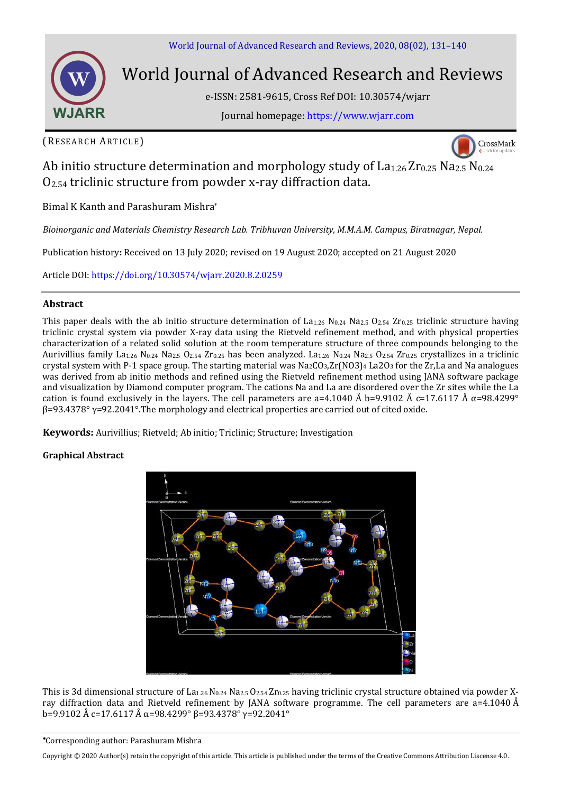

# World Journal of Advanced Research and Reviews

e-ISSN: 2581-9615, Cross Ref DOI: 10.30574/wjarr

Journal homepage: [https://www.wjarr.com](https://www.wjarr.com/)

(RESEARCH ARTICLE)



# Ab initio structure determination and morphology study of  $La<sub>1.26</sub> Zr<sub>0.25</sub> Na<sub>2.5</sub> N<sub>0.24</sub>$  $O<sub>2.54</sub>$  triclinic structure from powder x-ray diffraction data.

Bimal K Kanth and Parashuram Mishra\*

*Bioinorganic and Materials Chemistry Research Lab. Tribhuvan University, M.M.A.M. Campus, Biratnagar, Nepal.* 

Publication history**:** Received on 13 July 2020; revised on 19 August 2020; accepted on 21 August 2020

Article DOI[: https://doi.org/10.30574/wjarr.2020.8.2.0259](https://doi.org/10.30574/wjarr.2020.8.2.0259)

### **Abstract**

This paper deals with the ab initio structure determination of La<sub>1.26</sub> N<sub>0.24</sub> Na<sub>2.5</sub> O<sub>2.54</sub> Zr<sub>0.25</sub> triclinic structure having triclinic crystal system via powder X-ray data using the Rietveld refinement method, and with physical properties characterization of a related solid solution at the room temperature structure of three compounds belonging to the Aurivillius family La1.26 N0.24 Na2.5 O2.54 Zr0.25 has been analyzed. La1.26 N0.24 Na2.5 O2.54 Zr0.25 crystallizes in a triclinic crystal system with P-1 space group. The starting material was  $Na_2CO_3,Zr(NO3)_4$  La2O<sub>3</sub> for the Zr,La and Na analogues was derived from ab initio methods and refined using the Rietveld refinement method using JANA software package and visualization by Diamond computer program. The cations Na and La are disordered over the Zr sites while the La cation is found exclusively in the layers. The cell parameters are a=4.1040 Å b=9.9102 Å c=17.6117 Å α=98.4299°  $β=93.4378°$   $γ=92.2041°$ . The morphology and electrical properties are carried out of cited oxide.

**Keywords:** Aurivillius; Rietveld; Ab initio; Triclinic; Structure; Investigation

### **Graphical Abstract**



This is 3d dimensional structure of La<sub>1.26</sub> N<sub>0.24</sub> Na<sub>2.5</sub> O<sub>2.54</sub> Zr<sub>0.25</sub> having triclinic crystal structure obtained via powder Xray diffraction data and Rietveld refinement by JANA software programme. The cell parameters are a=4.1040 Å b=9.9102 Å c=17.6117 Å α=98.4299° β=93.4378° γ=92.2041°

Corresponding author: Parashuram Mishra

Copyright © 2020 Author(s) retain the copyright of this article. This article is published under the terms of th[e Creative Commons Attribution Liscense 4.0.](http://creativecommons.org/licenses/by/4.0/deed.en_US)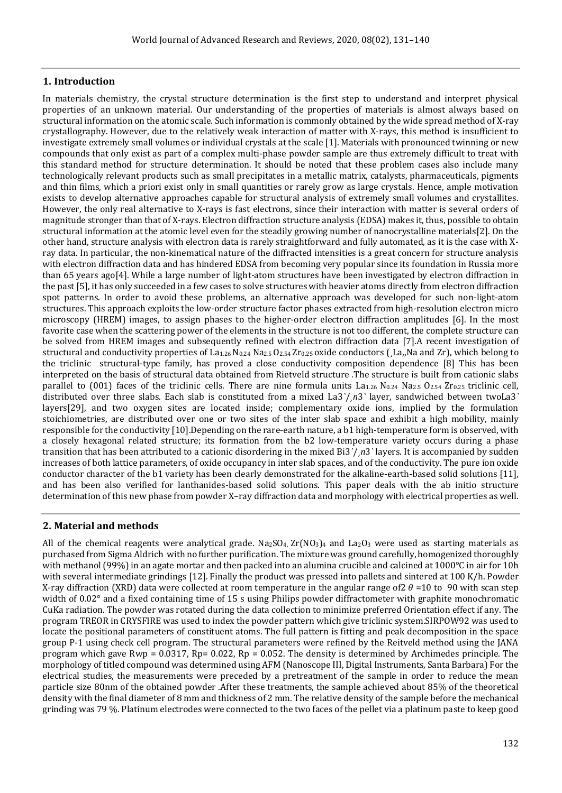## **1. Introduction**

In materials chemistry, the crystal structure determination is the first step to understand and interpret physical properties of an unknown material. Our understanding of the properties of materials is almost always based on structural information on the atomic scale. Such information is commonly obtained by the wide spread method of X-ray crystallography. However, due to the relatively weak interaction of matter with X-rays, this method is insufficient to investigate extremely small volumes or individual crystals at the scale [1]. Materials with pronounced twinning or new compounds that only exist as part of a complex multi-phase powder sample are thus extremely difficult to treat with this standard method for structure determination. It should be noted that these problem cases also include many technologically relevant products such as small precipitates in a metallic matrix, catalysts, pharmaceuticals, pigments and thin films, which a priori exist only in small quantities or rarely grow as large crystals. Hence, ample motivation exists to develop alternative approaches capable for structural analysis of extremely small volumes and crystallites. However, the only real alternative to X-rays is fast electrons, since their interaction with matter is several orders of magnitude stronger than that of X-rays. Electron diffraction structure analysis (EDSA) makes it, thus, possible to obtain structural information at the atomic level even for the steadily growing number of nanocrystalline materials[2]. On the other hand, structure analysis with electron data is rarely straightforward and fully automated, as it is the case with Xray data. In particular, the non-kinematical nature of the diffracted intensities is a great concern for structure analysis with electron diffraction data and has hindered EDSA from becoming very popular since its foundation in Russia more than 65 years ago[4]. While a large number of light-atom structures have been investigated by electron diffraction in the past [5], it has only succeeded in a few cases to solve structures with heavier atoms directly from electron diffraction spot patterns. In order to avoid these problems, an alternative approach was developed for such non-light-atom structures. This approach exploits the low-order structure factor phases extracted from high-resolution electron micro microscopy (HREM) images, to assign phases to the higher-order electron diffraction amplitudes [6]. In the most favorite case when the scattering power of the elements in the structure is not too different, the complete structure can be solved from HREM images and subsequently refined with electron diffraction data [7].A recent investigation of structural and conductivity properties of La<sub>1.26</sub> N<sub>0.24</sub> Na<sub>2.5</sub> O<sub>2.54</sub> Zr<sub>0.25</sub> oxide conductors ( $\text{La}_n$ Na and Zr), which belong to the triclinic structural-type family, has proved a close conductivity composition dependence [8] This has been interpreted on the basis of structural data obtained from Rietveld structure .The structure is built from cationic slabs parallel to  $(001)$  faces of the triclinic cells. There are nine formula units  $La_{1.26}$  N<sub>0.24</sub> Na<sub>2.5</sub> O<sub>2.54</sub> Zr<sub>0.25</sub> triclinic cell, distributed over three slabs. Each slab is constituted from a mixed La3<sup>'</sup>/<sub>*n*3</sub>' layer, sandwiched between twoLa3<sup>'</sup> layers[29], and two oxygen sites are located inside; complementary oxide ions, implied by the formulation stoichiometries, are distributed over one or two sites of the inter slab space and exhibit a high mobility, mainly responsible for the conductivity [10].Depending on the rare-earth nature, a b1 high-temperature form is observed, with a closely hexagonal related structure; its formation from the b2 low-temperature variety occurs during a phase transition that has been attributed to a cationic disordering in the mixed Bi3*`*/¸*n*3*`* layers. It is accompanied by sudden increases of both lattice parameters, of oxide occupancy in inter slab spaces, and of the conductivity. The pure ion oxide conductor character of the b1 variety has been clearly demonstrated for the alkaline-earth-based solid solutions [11], and has been also verified for lanthanides-based solid solutions. This paper deals with the ab initio structure determination of this new phase from powder X–ray diffraction data and morphology with electrical properties as well.

### **2. Material and methods**

All of the chemical reagents were analytical grade. Na<sub>2</sub>SO<sub>4</sub>,  $Zr(NO_3)_4$  and La<sub>2</sub>O<sub>3</sub> were used as starting materials as purchased from Sigma Aldrich with no further purification. The mixture was ground carefully, homogenized thoroughly with methanol (99%) in an agate mortar and then packed into an alumina crucible and calcined at 1000°C in air for 10h with several intermediate grindings [12]. Finally the product was pressed into pallets and sintered at 100 K/h. Powder X-ray diffraction (XRD) data were collected at room temperature in the angular range of  $2 \theta = 10$  to 90 with scan step width of 0.02° and a fixed containing time of 15 s using Philips powder diffractometer with graphite monochromatic CuKa radiation. The powder was rotated during the data collection to minimize preferred Orientation effect if any. The program TREOR in CRYSFIRE was used to index the powder pattern which give triclinic system.SIRPOW92 was used to locate the positional parameters of constituent atoms. The full pattern is fitting and peak decomposition in the space group P-1 using check cell program. The structural parameters were refined by the Reitveld method using the JANA program which gave Rwp = 0.0317, Rp= 0.022, Rp = 0.052. The density is determined by Archimedes principle. The morphology of titled compound was determined using AFM (Nanoscope III, Digital Instruments, Santa Barbara) For the electrical studies, the measurements were preceded by a pretreatment of the sample in order to reduce the mean particle size 80nm of the obtained powder .After these treatments, the sample achieved about 85% of the theoretical density with the final diameter of 8 mm and thickness of 2 mm. The relative density of the sample before the mechanical grinding was 79 %. Platinum electrodes were connected to the two faces of the pellet via a platinum paste to keep good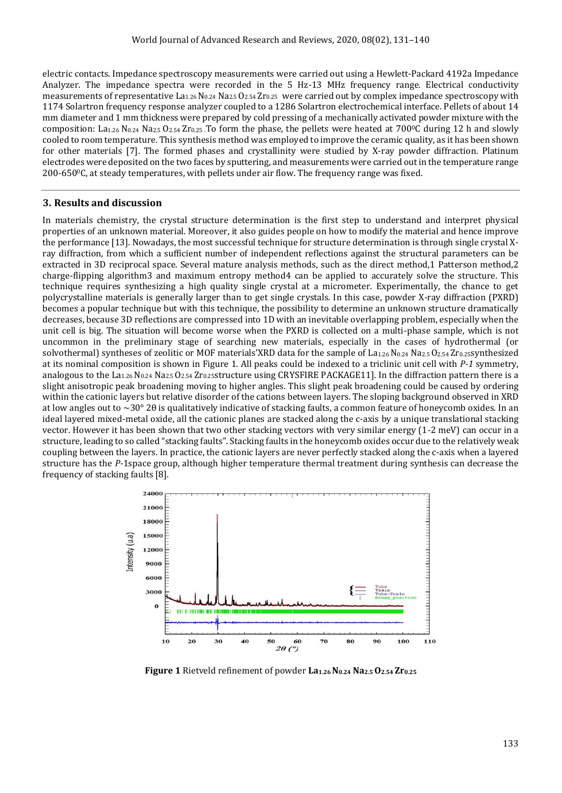electric contacts. Impedance spectroscopy measurements were carried out using a Hewlett-Packard 4192a Impedance Analyzer. The impedance spectra were recorded in the 5 Hz-13 MHz frequency range. Electrical conductivity measurements of representative  $La_{1.26}$  N<sub>0.24</sub> Na<sub>2.5</sub> O<sub>2.54</sub> Zr<sub>0.25</sub> were carried out by complex impedance spectroscopy with 1174 Solartron frequency response analyzer coupled to a 1286 Solartron electrochemical interface. Pellets of about 14 mm diameter and 1 mm thickness were prepared by cold pressing of a mechanically activated powder mixture with the composition: La<sub>1.26</sub> N<sub>0.24</sub> Na<sub>2.5</sub> O<sub>2.54</sub> Zr<sub>0.25</sub>. To form the phase, the pellets were heated at 700<sup>o</sup>C during 12 h and slowly cooled to room temperature. This synthesis method was employed to improve the ceramic quality, as it has been shown for other materials [7]. The formed phases and crystallinity were studied by X-ray powder diffraction. Platinum electrodes were deposited on the two faces by sputtering, and measurements were carried out in the temperature range  $200-650$ <sup>o</sup>C, at steady temperatures, with pellets under air flow. The frequency range was fixed.

#### **3. Results and discussion**

In materials chemistry, the crystal structure determination is the first step to understand and interpret physical properties of an unknown material. Moreover, it also guides people on how to modify the material and hence improve the performance [13]. Nowadays, the most successful technique for structure determination is through single crystal Xray diffraction, from which a sufficient number of independent reflections against the structural parameters can be extracted in 3D reciprocal space. Several mature analysis methods, such as the direct method,1 Patterson method,2 charge-flipping algorithm3 and maximum entropy method4 can be applied to accurately solve the structure. This technique requires synthesizing a high quality single crystal at a micrometer. Experimentally, the chance to get polycrystalline materials is generally larger than to get single crystals. In this case, powder X-ray diffraction (PXRD) becomes a popular technique but with this technique, the possibility to determine an unknown structure dramatically decreases, because 3D reflections are compressed into 1D with an inevitable overlapping problem, especially when the unit cell is big. The situation will become worse when the PXRD is collected on a multi-phase sample, which is not uncommon in the preliminary stage of searching new materials, especially in the cases of hydrothermal (or solvothermal) syntheses of zeolitic or MOF materials'XRD data for the sample of La1.26 N0.24 Na2.5 O2.54 Zr0.25synthesized at its nominal composition is shown in Figure 1. All peaks could be indexed to a triclinic unit cell with *P-1* symmetry, analogous to the  $La_{1.26}$  N<sub>0.24</sub> Na<sub>2.5</sub> O<sub>2.54</sub> Zr<sub>0.25</sub>structure using CRYSFIRE PACKAGE11]. In the diffraction pattern there is a slight anisotropic peak broadening moving to higher angles. This slight peak broadening could be caused by ordering within the cationic layers but relative disorder of the cations between layers. The sloping background observed in XRD at low angles out to  $\sim$ 30° 2 $\theta$  is qualitatively indicative of stacking faults, a common feature of honeycomb oxides. In an ideal layered mixed-metal oxide, all the cationic planes are stacked along the c-axis by a unique translational stacking vector. However it has been shown that two other stacking vectors with very similar energy (1-2 meV) can occur in a structure, leading to so called "stacking faults". Stacking faults in the honeycomb oxides occur due to the relatively weak coupling between the layers. In practice, the cationic layers are never perfectly stacked along the c-axis when a layered structure has the *P-*1space group, although higher temperature thermal treatment during synthesis can decrease the frequency of stacking faults [8].



**Figure 1** Rietveld refinement of powder **La1.26 N0.24 Na2.5 O2.54 Zr0.25**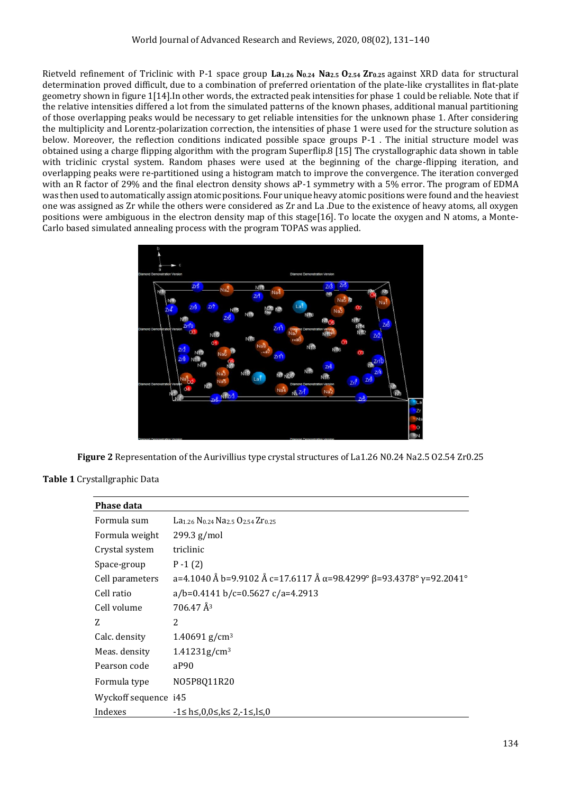Rietveld refinement of Triclinic with P-1 space group **La1.26 N0.24 Na2.5 O2.54 Zr0.25** against XRD data for structural determination proved difficult, due to a combination of preferred orientation of the plate-like crystallites in flat-plate geometry shown in figure 1[14].In other words, the extracted peak intensities for phase 1 could be reliable. Note that if the relative intensities differed a lot from the simulated patterns of the known phases, additional manual partitioning of those overlapping peaks would be necessary to get reliable intensities for the unknown phase 1. After considering the multiplicity and Lorentz-polarization correction, the intensities of phase 1 were used for the structure solution as below. Moreover, the reflection conditions indicated possible space groups P-1 . The initial structure model was obtained using a charge flipping algorithm with the program Superflip.8 [15] The crystallographic data shown in table with triclinic crystal system. Random phases were used at the beginning of the charge-flipping iteration, and overlapping peaks were re-partitioned using a histogram match to improve the convergence. The iteration converged with an R factor of 29% and the final electron density shows aP-1 symmetry with a 5% error. The program of EDMA was then used to automatically assign atomic positions. Four unique heavy atomic positions were found and the heaviest one was assigned as Zr while the others were considered as Zr and La .Due to the existence of heavy atoms, all oxygen positions were ambiguous in the electron density map of this stage[16]. To locate the oxygen and N atoms, a Monte-Carlo based simulated annealing process with the program TOPAS was applied.



**Figure 2** Representation of the Aurivillius type crystal structures of La1.26 N0.24 Na2.5 O2.54 Zr0.25

**Table 1** Crystallgraphic Data

| <b>Phase data</b>    |                                                                                             |
|----------------------|---------------------------------------------------------------------------------------------|
| Formula sum          | La <sub>1,26</sub> N <sub>0,24</sub> Na <sub>2,5</sub> O <sub>2,54</sub> Z <sub>r0,25</sub> |
| Formula weight       | $299.3$ g/mol                                                                               |
| Crystal system       | triclinic                                                                                   |
| Space-group          | $P - 1(2)$                                                                                  |
| Cell parameters      | a=4.1040 Å b=9.9102 Å c=17.6117 Å $\alpha$ =98.4299° $\beta$ =93.4378° $\gamma$ =92.2041°   |
| Cell ratio           | $a/b=0.4141 b/c=0.5627 c/a=4.2913$                                                          |
| Cell volume          | $706.47 \text{ Å}^3$                                                                        |
| 7.                   | 2                                                                                           |
| Calc. density        | $1.40691$ g/cm <sup>3</sup>                                                                 |
| Meas. density        | 1.41231g/cm <sup>3</sup>                                                                    |
| Pearson code         | aP90                                                                                        |
| Formula type         | N05P8Q11R20                                                                                 |
| Wyckoff sequence i45 |                                                                                             |
| Indexes              | -1≤ h≤.0.0≤ k≤ 2.-1≤.l≤.0                                                                   |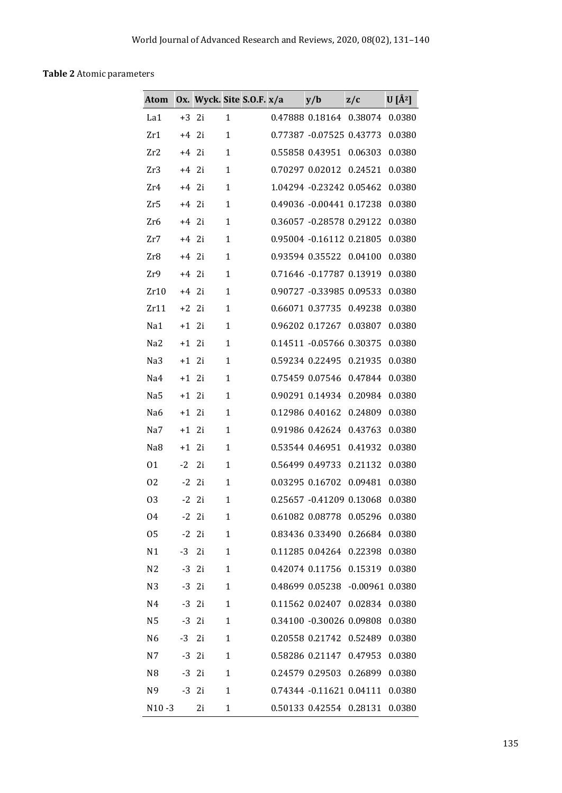# **Table 2** Atomic parameters

| Atom            |         | Ox. Wyck. Site S.O.F. x/a |              |  | y/b                      | z/c                 | $\overline{U}$ [Å <sup>2</sup> ] |
|-----------------|---------|---------------------------|--------------|--|--------------------------|---------------------|----------------------------------|
| La1             | $+3$ 2i |                           | 1            |  | 0.47888 0.18164 0.38074  |                     | 0.0380                           |
| Zr1             | $+4$ 2i |                           | $\mathbf{1}$ |  | 0.77387 -0.07525 0.43773 |                     | 0.0380                           |
| Zr2             | $+4$ 2i |                           | $\mathbf{1}$ |  | 0.55858 0.43951          | 0.06303             | 0.0380                           |
| Zr3             | $+4$ 2i |                           | $\mathbf{1}$ |  | 0.70297 0.02012          | 0.24521             | 0.0380                           |
| Zr4             | $+4$ 2i |                           | $\mathbf{1}$ |  | 1.04294 -0.23242 0.05462 |                     | 0.0380                           |
| Zr5             | $+4$ 2i |                           | $\mathbf{1}$ |  | 0.49036 -0.00441 0.17238 |                     | 0.0380                           |
| Zr6             | $+4$ 2i |                           | $\mathbf{1}$ |  | 0.36057 -0.28578 0.29122 |                     | 0.0380                           |
| Zr7             | $+4$ 2i |                           | $\mathbf{1}$ |  | 0.95004 -0.16112 0.21805 |                     | 0.0380                           |
| Zr8             | $+4$ 2i |                           | $\mathbf{1}$ |  | 0.93594 0.35522 0.04100  |                     | 0.0380                           |
| Zr9             | $+4$ 2i |                           | $\mathbf{1}$ |  | 0.71646 -0.17787 0.13919 |                     | 0.0380                           |
| Zr10            | $+4$    | -2i                       | $\mathbf{1}$ |  | 0.90727 -0.33985 0.09533 |                     | 0.0380                           |
| Zr11            | $+2$ 2i |                           | 1            |  | 0.66071 0.37735          | 0.49238             | 0.0380                           |
| Na1             | $+1$ 2i |                           | $\mathbf{1}$ |  | 0.96202 0.17267          | 0.03807             | 0.0380                           |
| Na <sub>2</sub> | $+1$ 2i |                           | $\mathbf{1}$ |  | 0.14511 -0.05766 0.30375 |                     | 0.0380                           |
| Na3             | $+1$ 2i |                           | $\mathbf{1}$ |  | 0.59234 0.22495          | 0.21935             | 0.0380                           |
| Na4             | $+1$ 2i |                           | $\mathbf{1}$ |  | 0.75459 0.07546          | 0.47844             | 0.0380                           |
| Na5             | $+1$ 2i |                           | $\mathbf{1}$ |  | 0.90291 0.14934          | 0.20984             | 0.0380                           |
| Na <sub>6</sub> | $+1$ 2i |                           | $\mathbf{1}$ |  | 0.12986 0.40162          | 0.24809             | 0.0380                           |
| Na7             | $+1$ 2i |                           | $\mathbf{1}$ |  | 0.91986 0.42624          | 0.43763             | 0.0380                           |
| Na8             | $+1$ 2i |                           | $\mathbf{1}$ |  | 0.53544 0.46951          | 0.41932             | 0.0380                           |
| 01              | $-2$    | 2i                        | $\mathbf{1}$ |  | 0.56499 0.49733          | 0.21132             | 0.0380                           |
| 02              | $-2$    | 2i                        | $\mathbf{1}$ |  | 0.03295 0.16702          | 0.09481             | 0.0380                           |
| 03              |         | $-2$ 2i                   | $\mathbf{1}$ |  | 0.25657 -0.41209 0.13068 |                     | 0.0380                           |
| 04              |         | $-2$ 2i                   | $\mathbf{1}$ |  | 0.61082 0.08778          | 0.05296             | 0.0380                           |
| 05              | $-2$    | 2i                        | $\mathbf{1}$ |  | 0.83436 0.33490 0.26684  |                     | 0.0380                           |
| N1              | $-3$    | 2i                        | 1            |  | 0.11285 0.04264 0.22398  |                     | 0.0380                           |
| N <sub>2</sub>  |         | $-3$ 2i                   | $\mathbf{1}$ |  | 0.42074 0.11756          | 0.15319             | 0.0380                           |
| N <sub>3</sub>  |         | $-3$ 2i                   | 1            |  | 0.48699 0.05238          | $-0.00961$ $0.0380$ |                                  |
| N4              | $-3$    | 2i                        | $\mathbf{1}$ |  | 0.11562 0.02407          | 0.02834             | 0.0380                           |
| N <sub>5</sub>  |         | $-3$ 2i                   | $\mathbf{1}$ |  | 0.34100 -0.30026 0.09808 |                     | 0.0380                           |
| N <sub>6</sub>  | $-3$    | 2i                        | $\mathbf{1}$ |  | 0.20558 0.21742          | 0.52489             | 0.0380                           |
| N7              |         | $-3$ 2i                   | $\mathbf{1}$ |  | 0.58286 0.21147          | 0.47953             | 0.0380                           |
| N <sub>8</sub>  | $-3$    | 2i                        | $\mathbf{1}$ |  | 0.24579 0.29503          | 0.26899             | 0.0380                           |
| N9              |         | $-3$ 2i                   | $\mathbf{1}$ |  | 0.74344 -0.11621 0.04111 |                     | 0.0380                           |
| $N10 - 3$       |         | 2i                        | $\mathbf{1}$ |  | 0.50133 0.42554 0.28131  |                     | 0.0380                           |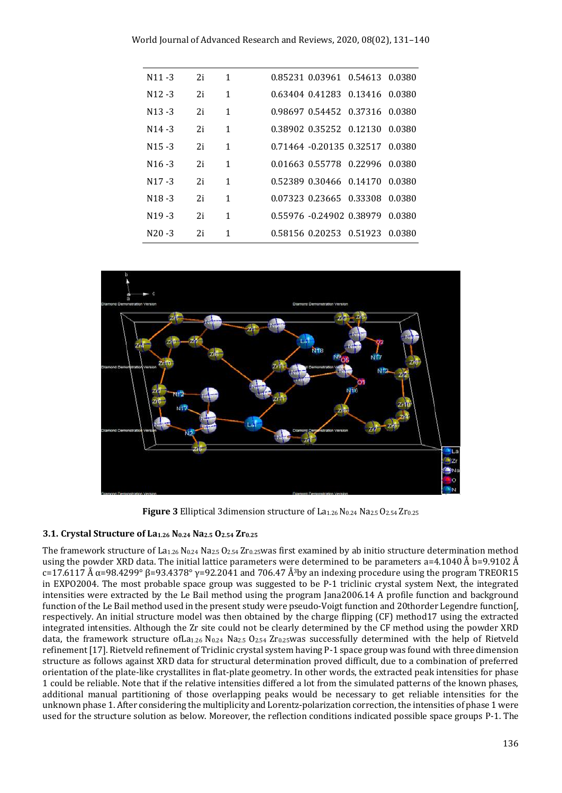| $N11 - 3$ | 2i | 1            |  |                                                                                                                                                                                                                                                                                                           |
|-----------|----|--------------|--|-----------------------------------------------------------------------------------------------------------------------------------------------------------------------------------------------------------------------------------------------------------------------------------------------------------|
| $N12 - 3$ | 2i | 1            |  |                                                                                                                                                                                                                                                                                                           |
| $N13 - 3$ | 2i | 1            |  |                                                                                                                                                                                                                                                                                                           |
| $N14 - 3$ | 2i | $\mathbf{1}$ |  |                                                                                                                                                                                                                                                                                                           |
| $N15 - 3$ | 2i | 1            |  |                                                                                                                                                                                                                                                                                                           |
| $N16 - 3$ | 2i | 1            |  |                                                                                                                                                                                                                                                                                                           |
| $N17 - 3$ | 2i | 1            |  |                                                                                                                                                                                                                                                                                                           |
| $N18 - 3$ | 2i | 1            |  |                                                                                                                                                                                                                                                                                                           |
| $N19 - 3$ | 2i | 1            |  |                                                                                                                                                                                                                                                                                                           |
| $N20 - 3$ | 2i | 1            |  | 0.0380                                                                                                                                                                                                                                                                                                    |
|           |    |              |  | 0.85231 0.03961 0.54613 0.0380<br>0.63404 0.41283 0.13416 0.0380<br>0.98697 0.54452 0.37316 0.0380<br>0.38902 0.35252 0.12130 0.0380<br>0.71464 -0.20135 0.32517 0.0380<br>0.52389 0.30466 0.14170 0.0380<br>0.07323 0.23665 0.33308 0.0380<br>0.55976 -0.24902 0.38979 0.0380<br>0.58156 0.20253 0.51923 |



**Figure 3** Elliptical 3dimension structure of La<sub>1.26</sub> N<sub>0.24</sub> Na<sub>2.5</sub> O<sub>2.54</sub> Zr<sub>0.25</sub>

### **3.1. Crystal Structure of La1.26 N0.24 Na2.5 O2.54 Zr0.25**

The framework structure of La<sub>1.26</sub> N<sub>0.24</sub> Na<sub>2.5</sub> O<sub>2.54</sub> Zr<sub>0.25</sub>was first examined by ab initio structure determination method using the powder XRD data. The initial lattice parameters were determined to be parameters a=4.1040 Å b=9.9102 Å c=17.6117 Å  $\alpha$ =98.4299° β=93.4378°  $\gamma$ =92.2041 and 706.47 Å<sup>3</sup>by an indexing procedure using the program TREOR15 in EXPO2004. The most probable space group was suggested to be P-1 triclinic crystal system Next, the integrated intensities were extracted by the Le Bail method using the program Jana2006.14 A profile function and background function of the Le Bail method used in the present study were pseudo-Voigt function and 20thorder Legendre function[, respectively. An initial structure model was then obtained by the charge flipping (CF) method17 using the extracted integrated intensities. Although the Zr site could not be clearly determined by the CF method using the powder XRD data, the framework structure ofLa<sub>1.26</sub> N<sub>0.24</sub> Na<sub>2.5</sub> O<sub>2.54</sub> Zr<sub>0.25</sub>was successfully determined with the help of Rietveld refinement [17]. Rietveld refinement of Triclinic crystal system having P-1 space group was found with three dimension structure as follows against XRD data for structural determination proved difficult, due to a combination of preferred orientation of the plate-like crystallites in flat-plate geometry. In other words, the extracted peak intensities for phase 1 could be reliable. Note that if the relative intensities differed a lot from the simulated patterns of the known phases, additional manual partitioning of those overlapping peaks would be necessary to get reliable intensities for the unknown phase 1. After considering the multiplicity and Lorentz-polarization correction, the intensities of phase 1 were used for the structure solution as below. Moreover, the reflection conditions indicated possible space groups P-1. The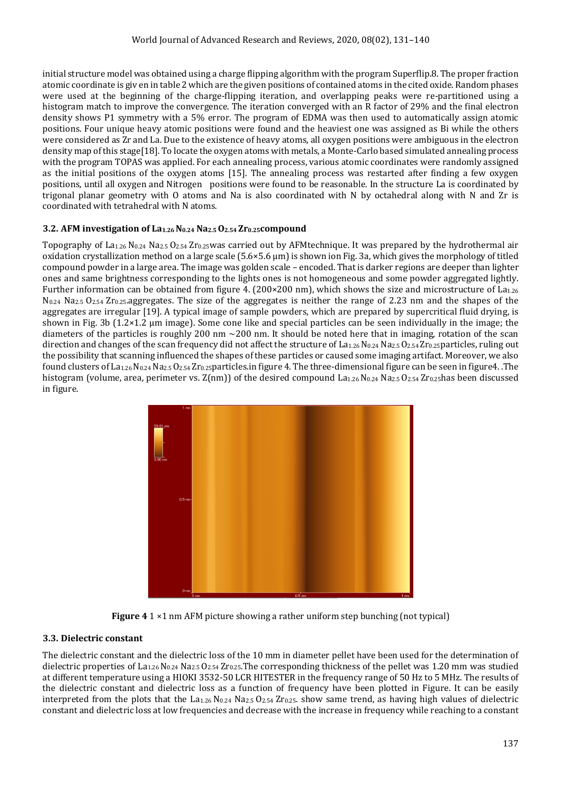initial structure model was obtained using a charge flipping algorithm with the program Superflip.8. The proper fraction atomic coordinate is giv en in table 2 which are the given positions of contained atoms in the cited oxide. Random phases were used at the beginning of the charge-flipping iteration, and overlapping peaks were re-partitioned using a histogram match to improve the convergence. The iteration converged with an R factor of 29% and the final electron density shows P1 symmetry with a 5% error. The program of EDMA was then used to automatically assign atomic positions. Four unique heavy atomic positions were found and the heaviest one was assigned as Bi while the others were considered as Zr and La. Due to the existence of heavy atoms, all oxygen positions were ambiguous in the electron density map of this stage[18]. To locate the oxygen atoms with metals, a Monte-Carlo based simulated annealing process with the program TOPAS was applied. For each annealing process, various atomic coordinates were randomly assigned as the initial positions of the oxygen atoms [15]. The annealing process was restarted after finding a few oxygen positions, until all oxygen and Nitrogen positions were found to be reasonable. In the structure La is coordinated by trigonal planar geometry with O atoms and Na is also coordinated with N by octahedral along with N and Zr is coordinated with tetrahedral with N atoms.

### **3.2. AFM investigation of La1.26 N0.24 Na2.5 O2.54 Zr0.25compound**

Topography of  $La_{1.26}$  N<sub>0.24</sub> Na<sub>2.5</sub> O<sub>2.54</sub> Zr<sub>0.25</sub>was carried out by AFMtechnique. It was prepared by the hydrothermal air oxidation crystallization method on a large scale (5.6×5.6 μm) is shown ion Fig. 3a, which gives the morphology of titled compound powder in a large area. The image was golden scale – encoded. That is darker regions are deeper than lighter ones and same brightness corresponding to the lights ones is not homogeneous and some powder aggregated lightly. Further information can be obtained from figure 4. (200×200 nm), which shows the size and microstructure of  $La<sub>1.26</sub>$  $N_{0.24}$  Na<sub>2.5</sub> O<sub>2.54</sub> Zr<sub>0.25</sub>.aggregates. The size of the aggregates is neither the range of 2.23 nm and the shapes of the aggregates are irregular [19]. A typical image of sample powders, which are prepared by supercritical fluid drying, is shown in Fig. 3b (1.2×1.2 μm image). Some cone like and special particles can be seen individually in the image; the diameters of the particles is roughly 200 nm  $\sim$  200 nm. It should be noted here that in imaging, rotation of the scan direction and changes of the scan frequency did not affect the structure of La1.26 N0.24 Na2.5 O2.54 Zr0.25particles, ruling out the possibility that scanning influenced the shapes of these particles or caused some imaging artifact. Moreover, we also found clusters of La<sub>1.26</sub> N<sub>0.24</sub> Na<sub>2.5</sub> O<sub>2.54</sub> Zr<sub>0.25</sub>particles.in figure 4. The three-dimensional figure can be seen in figure4. .The histogram (volume, area, perimeter vs.  $Z(nm)$ ) of the desired compound  $La_{1,26}N_{0,24}N_{2,5}O_{2,54}Zr_{0,25}$ has been discussed in figure.



**Figure 4** 1 × 1 nm AFM picture showing a rather uniform step bunching (not typical)

### **3.3. Dielectric constant**

The dielectric constant and the dielectric loss of the 10 mm in diameter pellet have been used for the determination of dielectric properties of La<sub>1.26</sub> N<sub>0.24</sub> Na<sub>2.5</sub> O<sub>2.54</sub> Zr<sub>0.25</sub>. The corresponding thickness of the pellet was 1.20 mm was studied at different temperature using a HIOKI 3532-50 LCR HITESTER in the frequency range of 50 Hz to 5 MHz. The results of the dielectric constant and dielectric loss as a function of frequency have been plotted in Figure. It can be easily interpreted from the plots that the  $La_{1.26}$  N<sub>0.24</sub> Na<sub>2.5</sub> O<sub>2.54</sub> Zr<sub>0.25</sub>. show same trend, as having high values of dielectric constant and dielectric loss at low frequencies and decrease with the increase in frequency while reaching to a constant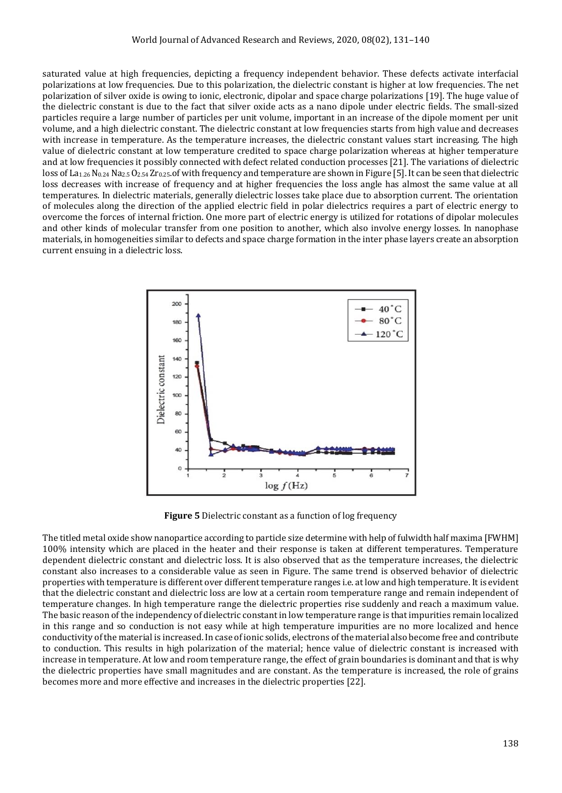saturated value at high frequencies, depicting a frequency independent behavior. These defects activate interfacial polarizations at low frequencies. Due to this polarization, the dielectric constant is higher at low frequencies. The net polarization of silver oxide is owing to ionic, electronic, dipolar and space charge polarizations [19]. The huge value of the dielectric constant is due to the fact that silver oxide acts as a nano dipole under electric fields. The small-sized particles require a large number of particles per unit volume, important in an increase of the dipole moment per unit volume, and a high dielectric constant. The dielectric constant at low frequencies starts from high value and decreases with increase in temperature. As the temperature increases, the dielectric constant values start increasing. The high value of dielectric constant at low temperature credited to space charge polarization whereas at higher temperature and at low frequencies it possibly connected with defect related conduction processes [21]. The variations of dielectric loss of La<sub>1.26</sub> N<sub>0.24</sub> Na<sub>2.5</sub> O<sub>2.54</sub> Zr<sub>0.25</sub>.of with frequency and temperature are shown in Figure [5]. It can be seen that dielectric loss decreases with increase of frequency and at higher frequencies the loss angle has almost the same value at all temperatures. In dielectric materials, generally dielectric losses take place due to absorption current. The orientation of molecules along the direction of the applied electric field in polar dielectrics requires a part of electric energy to overcome the forces of internal friction. One more part of electric energy is utilized for rotations of dipolar molecules and other kinds of molecular transfer from one position to another, which also involve energy losses. In nanophase materials, in homogeneities similar to defects and space charge formation in the inter phase layers create an absorption current ensuing in a dielectric loss.



**Figure 5** Dielectric constant as a function of log frequency

The titled metal oxide show nanopartice according to particle size determine with help of fulwidth half maxima [FWHM] 100% intensity which are placed in the heater and their response is taken at different temperatures. Temperature dependent dielectric constant and dielectric loss. It is also observed that as the temperature increases, the dielectric constant also increases to a considerable value as seen in Figure. The same trend is observed behavior of dielectric properties with temperature is different over different temperature ranges i.e. at low and high temperature. It is evident that the dielectric constant and dielectric loss are low at a certain room temperature range and remain independent of temperature changes. In high temperature range the dielectric properties rise suddenly and reach a maximum value. The basic reason of the independency of dielectric constant in low temperature range is that impurities remain localized in this range and so conduction is not easy while at high temperature impurities are no more localized and hence conductivity of the material is increased. In case of ionic solids, electrons of the material also become free and contribute to conduction. This results in high polarization of the material; hence value of dielectric constant is increased with increase in temperature. At low and room temperature range, the effect of grain boundaries is dominant and that is why the dielectric properties have small magnitudes and are constant. As the temperature is increased, the role of grains becomes more and more effective and increases in the dielectric properties [22].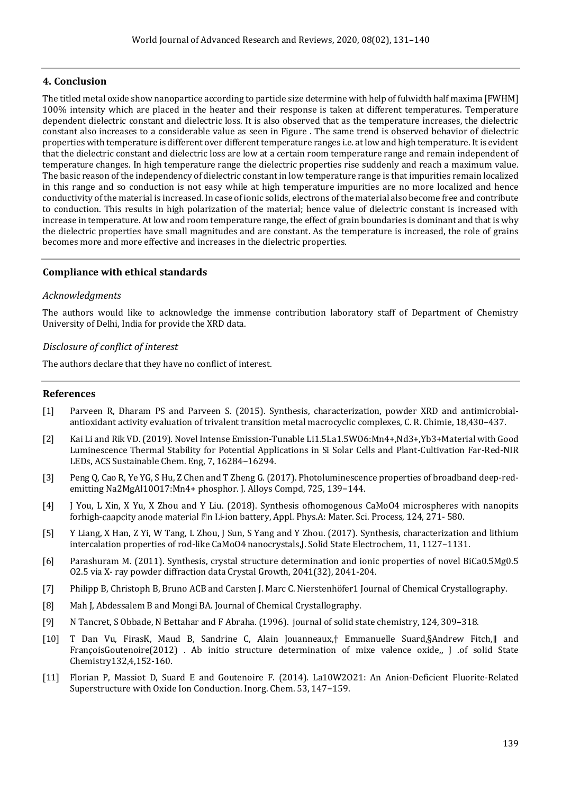### **4. Conclusion**

The titled metal oxide show nanopartice according to particle size determine with help of fulwidth half maxima [FWHM] 100% intensity which are placed in the heater and their response is taken at different temperatures. Temperature dependent dielectric constant and dielectric loss. It is also observed that as the temperature increases, the dielectric constant also increases to a considerable value as seen in Figure . The same trend is observed behavior of dielectric properties with temperature is different over different temperature ranges i.e. at low and high temperature. It is evident that the dielectric constant and dielectric loss are low at a certain room temperature range and remain independent of temperature changes. In high temperature range the dielectric properties rise suddenly and reach a maximum value. The basic reason of the independency of dielectric constant in low temperature range is that impurities remain localized in this range and so conduction is not easy while at high temperature impurities are no more localized and hence conductivity of the material is increased. In case of ionic solids, electrons of the material also become free and contribute to conduction. This results in high polarization of the material; hence value of dielectric constant is increased with increase in temperature. At low and room temperature range, the effect of grain boundaries is dominant and that is why the dielectric properties have small magnitudes and are constant. As the temperature is increased, the role of grains becomes more and more effective and increases in the dielectric properties.

#### **Compliance with ethical standards**

#### *Acknowledgments*

The authors would like to acknowledge the immense contribution laboratory staff of Department of Chemistry University of Delhi, India for provide the XRD data.

#### *Disclosure of conflict of interest*

The authors declare that they have no conflict of interest.

#### **References**

- [1] Parveen R, Dharam PS and Parveen S. (2015). Synthesis, characterization, powder XRD and antimicrobialantioxidant activity evaluation of trivalent transition metal macrocyclic complexes, C. R. Chimie, 18,430–437.
- [2] Kai Li and Rik VD. (2019). Novel Intense Emission-Tunable Li1.5La1.5WO6:Mn4+,Nd3+,Yb3+Material with Good Luminescence Thermal Stability for Potential Applications in Si Solar Cells and Plant-Cultivation Far-Red-NIR LEDs, ACS Sustainable Chem. Eng, 7, 16284−16294.
- [3] Peng Q, Cao R, Ye YG, S Hu, Z Chen and T Zheng G. (2017). Photoluminescence properties of broadband deep-redemitting Na2MgAl10O17:Mn4+ phosphor. J. Alloys Compd, 725, 139−144.
- [4] J You, L Xin, X Yu, X Zhou and Y Liu. (2018). Synthesis ofhomogenous CaMoO4 microspheres with nanopits forhigh-caapcity anode material  $\mathbb Z$ n Li-ion battery, Appl. Phys.A: Mater. Sci. Process, 124, 271- 580.
- [5] Y Liang, X Han, Z Yi, W Tang, L Zhou, J Sun, S Yang and Y Zhou. (2017). Synthesis, characterization and lithium intercalation properties of rod-like CaMoO4 nanocrystals,J. Solid State Electrochem, 11, 1127–1131.
- [6] Parashuram M. (2011). Synthesis, crystal structure determination and ionic properties of novel BiCa0.5Mg0.5 O2.5 via X- ray powder diffraction data Crystal Growth, 2041(32), 2041-204.
- [7] Philipp B, Christoph B, Bruno ACB and Carsten J. Marc C. Nierstenhöfer1 Journal of Chemical Crystallography.
- [8] Mah J, Abdessalem B and Mongi BA. Journal of Chemical Crystallography.
- [9] N Tancret, S Obbade, N Bettahar and F Abraha. (1996). journal of solid state chemistry, 124, 309–318.
- [10] T Dan Vu, FirasK, Maud B, Sandrine C, Alain Jouanneaux,† Emmanuelle Suard,§Andrew Fitch,∥ and FrançoisGoutenoire(2012) . Ab initio structure determination of mixe valence oxide,, J .of solid State Chemistry132,4,152-160.
- [11] Florian P, Massiot D, Suard E and Goutenoire F. (2014). La10W2O21: An Anion-Deficient Fluorite-Related Superstructure with Oxide Ion Conduction. Inorg. Chem. 53, 147−159.